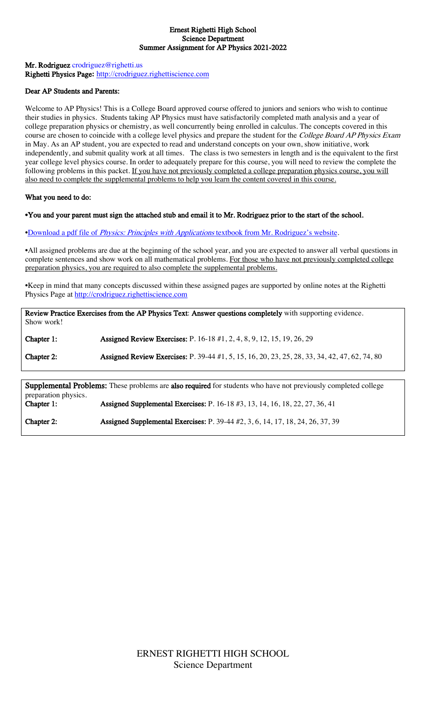#### Ernest Righetti High School Science Department Summer Assignment for AP Physics 2021-2022

### Mr. Rodriguez crodriguez@righetti.us Righetti Physics Page**:** http://crodriguez.righettiscience.com

### Dear AP Students and Parents:

Welcome to AP Physics! This is a College Board approved course offered to juniors and seniors who wish to continue their studies in physics. Students taking AP Physics must have satisfactorily completed math analysis and a year of college preparation physics or chemistry, as well concurrently being enrolled in calculus. The concepts covered in this course are chosen to coincide with a college level physics and prepare the student for the *College Board AP Physics Exam* in May. As an AP student, you are expected to read and understand concepts on your own, show initiative, work independently, and submit quality work at all times. The class is two semesters in length and is the equivalent to the first year college level physics course. In order to adequately prepare for this course, you will need to review the complete the following problems in this packet. If you have not previously completed a college preparation physics course, you will also need to complete the supplemental problems to help you learn the content covered in this course.

#### What you need to do:

#### •You and your parent must sign the attached stub and email it to Mr. Rodriguez prior to the start of the school.

•Download a pdf file of Physics: Principles with Applications textbook from Mr. Rodriguez's website.

•All assigned problems are due at the beginning of the school year, and you are expected to answer all verbal questions in complete sentences and show work on all mathematical problems. For those who have not previously completed college preparation physics, you are required to also complete the supplemental problems.

•Keep in mind that many concepts discussed within these assigned pages are supported by online notes at the Righetti Physics Page at http://crodriguez.righettiscience.com

Review Practice Exercises from the AP Physics Text: Answer questions completely with supporting evidence. Show work!

Chapter 1: Assigned Review Exercises: P. 16-18 #1, 2, 4, 8, 9, 12, 15, 19, 26, 29 Chapter 2: Assigned Review Exercises: P. 39-44 #1, 5, 15, 16, 20, 23, 25, 28, 33, 34, 42, 47, 62, 74, 80

**Supplemental Problems:** These problems are **also required** for students who have not previously completed college preparation physics. Chapter 1: Assigned Supplemental Exercises: P. 16-18 #3, 13, 14, 16, 18, 22, 27, 36, 41

Chapter 2: Assigned Supplemental Exercises: P. 39-44 #2, 3, 6, 14, 17, 18, 24, 26, 37, 39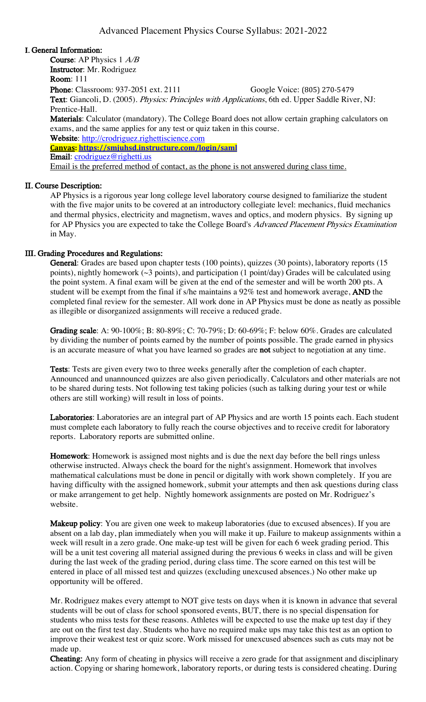## I. General Information:

Course: AP Physics 1 A/B Instructor: Mr. Rodriguez Room: 111 **Phone:** Classroom: 937-2051 ext. 2111 Google Voice: (805) 270-5479 Text: Giancoli, D. (2005). Physics: Principles with Applications, 6th ed. Upper Saddle River, NJ: Prentice-Hall. Materials: Calculator (mandatory). The College Board does not allow certain graphing calculators on exams, and the same applies for any test or quiz taken in this course. Website: http://crodriguez.righettiscience.com **Canvas: https://smjuhsd.instructure.com/login/saml** Email: crodriguez@righetti.us Email is the preferred method of contact, as the phone is not answered during class time.

### II. Course Description:

AP Physics is a rigorous year long college level laboratory course designed to familiarize the student with the five major units to be covered at an introductory collegiate level: mechanics, fluid mechanics and thermal physics, electricity and magnetism, waves and optics, and modern physics. By signing up for AP Physics you are expected to take the College Board's *Advanced Placement Physics Examination* in May.

## III. Grading Procedures and Regulations:

General: Grades are based upon chapter tests (100 points), quizzes (30 points), laboratory reports (15 points), nightly homework (~3 points), and participation (1 point/day) Grades will be calculated using the point system. A final exam will be given at the end of the semester and will be worth 200 pts. A student will be exempt from the final if s/he maintains a 92% test and homework average, AND the completed final review for the semester. All work done in AP Physics must be done as neatly as possible as illegible or disorganized assignments will receive a reduced grade.

Grading scale: A: 90-100%; B: 80-89%; C: 70-79%; D: 60-69%; F: below 60%. Grades are calculated by dividing the number of points earned by the number of points possible. The grade earned in physics is an accurate measure of what you have learned so grades are not subject to negotiation at any time.

Tests: Tests are given every two to three weeks generally after the completion of each chapter. Announced and unannounced quizzes are also given periodically. Calculators and other materials are not to be shared during tests. Not following test taking policies (such as talking during your test or while others are still working) will result in loss of points.

Laboratories: Laboratories are an integral part of AP Physics and are worth 15 points each. Each student must complete each laboratory to fully reach the course objectives and to receive credit for laboratory reports. Laboratory reports are submitted online.

Homework: Homework is assigned most nights and is due the next day before the bell rings unless otherwise instructed. Always check the board for the night's assignment. Homework that involves mathematical calculations must be done in pencil or digitally with work shown completely. If you are having difficulty with the assigned homework, submit your attempts and then ask questions during class or make arrangement to get help. Nightly homework assignments are posted on Mr. Rodriguez's website.

Makeup policy: You are given one week to makeup laboratories (due to excused absences). If you are absent on a lab day, plan immediately when you will make it up. Failure to makeup assignments within a week will result in a zero grade. One make-up test will be given for each 6 week grading period. This will be a unit test covering all material assigned during the previous 6 weeks in class and will be given during the last week of the grading period, during class time. The score earned on this test will be entered in place of all missed test and quizzes (excluding unexcused absences.) No other make up opportunity will be offered.

Mr. Rodriguez makes every attempt to NOT give tests on days when it is known in advance that several students will be out of class for school sponsored events, BUT, there is no special dispensation for students who miss tests for these reasons. Athletes will be expected to use the make up test day if they are out on the first test day. Students who have no required make ups may take this test as an option to improve their weakest test or quiz score. Work missed for unexcused absences such as cuts may not be made up.

Cheating: Any form of cheating in physics will receive a zero grade for that assignment and disciplinary action. Copying or sharing homework, laboratory reports, or during tests is considered cheating. During